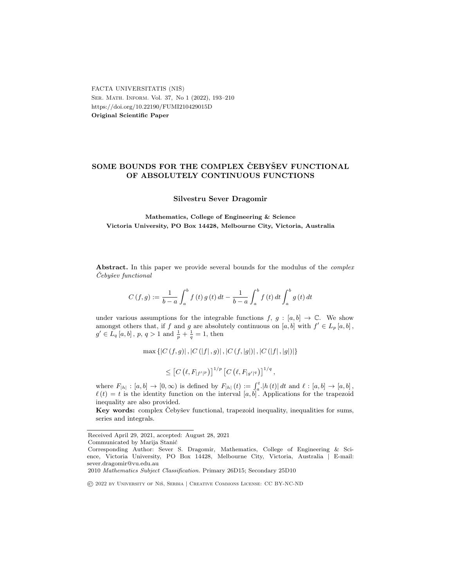FACTA UNIVERSITATIS (NIŠ) Ser. Math. Inform. Vol. 37, No 1 (2022), 193–210 https://doi.org/10.22190/FUMI210429015D Original Scientific Paper

# SOME BOUNDS FOR THE COMPLEX CEBYSEV FUNCTIONAL OF ABSOLUTELY CONTINUOUS FUNCTIONS

Silvestru Sever Dragomir

Mathematics, College of Engineering & Science Victoria University, PO Box 14428, Melbourne City, Victoria, Australia

Abstract. In this paper we provide several bounds for the modulus of the *complex* Cebyšev functional

$$
C(f,g) := \frac{1}{b-a} \int_{a}^{b} f(t) g(t) dt - \frac{1}{b-a} \int_{a}^{b} f(t) dt \int_{a}^{b} g(t) dt
$$

under various assumptions for the integrable functions  $f, g : [a, b] \to \mathbb{C}$ . We show amongst others that, if f and g are absolutely continuous on  $[a, b]$  with  $f' \in L_p[a, b]$ ,  $g' \in L_q[a, b], p, q > 1 \text{ and } \frac{1}{p} + \frac{1}{q} = 1, \text{ then}$ 

 $\max \{|C(f,g)|, |C(|f|,g)|, |C(f, |g|)|, |C(|f|, |g|)|\}$ 

$$
\leq \left[C\left(\ell, F_{|f'|^p}\right)\right]^{1/p} \left[C\left(\ell, F_{|g'|^q}\right)\right]^{1/q},
$$

where  $F_{|h|} : [a, b] \to [0, \infty)$  is defined by  $F_{|h|}(t) := \int_a^t |h(t)| dt$  and  $\ell : [a, b] \to [a, b]$ ,  $\ell(t) = t$  is the identity function on the interval [a, b]. Applications for the trapezoid inequality are also provided.

Key words: complex Čebyšev functional, trapezoid inequality, inequalities for sums, series and integrals.

Received April 29, 2021, accepted: August 28, 2021

Communicated by Marija Stanić

Corresponding Author: Sever S. Dragomir, Mathematics, College of Engineering & Science, Victoria University, PO Box 14428, Melbourne City, Victoria, Australia | E-mail: sever.dragomir@vu.edu.au

<sup>2010</sup> Mathematics Subject Classification. Primary 26D15; Secondary 25D10

<sup>©</sup> 2022 by University of Niˇs, Serbia | Creative Commons License: CC BY-NC-ND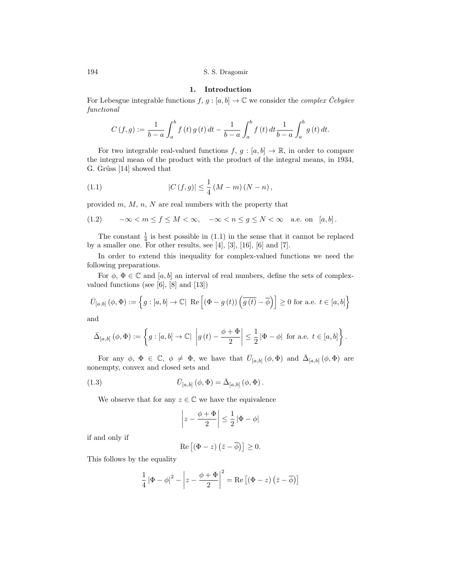### 1. Introduction

For Lebesgue integrable functions  $f, g : [a, b] \to \mathbb{C}$  we consider the *complex Cebysev* functional

$$
C(f,g) := \frac{1}{b-a} \int_{a}^{b} f(t) g(t) dt - \frac{1}{b-a} \int_{a}^{b} f(t) dt \frac{1}{b-a} \int_{a}^{b} g(t) dt.
$$

For two integrable real-valued functions  $f, g : [a, b] \to \mathbb{R}$ , in order to compare the integral mean of the product with the product of the integral means, in 1934, G. Grüss [14] showed that

(1.1) 
$$
|C(f,g)| \leq \frac{1}{4} (M-m) (N-n),
$$

provided  $m, M, n, N$  are real numbers with the property that

$$
(1.2) \qquad -\infty < m \le f \le M < \infty, \quad -\infty < n \le g \le N < \infty \quad \text{a.e. on } [a, b].
$$

The constant  $\frac{1}{4}$  is best possible in (1.1) in the sense that it cannot be replaced by a smaller one. For other results, see  $[4]$ ,  $[3]$ ,  $[16]$ ,  $[6]$  and  $[7]$ .

In order to extend this inequality for complex-valued functions we need the following preparations.

For  $\phi$ ,  $\Phi \in \mathbb{C}$  and  $[a, b]$  an interval of real numbers, define the sets of complexvalued functions (see [6], [8] and [13])

$$
\bar{U}_{[a,b]}(\phi,\Phi) := \left\{ g : [a,b] \to \mathbb{C} \middle| \text{ Re } \left[ \left( \Phi - g(t) \right) \left( \overline{g(t)} - \overline{\phi} \right) \right] \ge 0 \text{ for a.e. } t \in [a,b] \right\}
$$

and

$$
\bar{\Delta}_{[a,b]}\left(\phi,\Phi\right):=\left\{g:\left[a,b\right]\to\mathbb{C}|\,\left|g\left(t\right)-\frac{\phi+\Phi}{2}\right|\leq\frac{1}{2}\left|\Phi-\phi\right|\,\,\text{for a.e.}\,\,t\in\left[a,b\right]\right\}.
$$

For any  $\phi$ ,  $\Phi \in \mathbb{C}$ ,  $\phi \neq \Phi$ , we have that  $\overline{U}_{[a,b]}(\phi, \Phi)$  and  $\overline{\Delta}_{[a,b]}(\phi, \Phi)$  are nonempty, convex and closed sets and

(1.3) 
$$
\bar{U}_{[a,b]}(\phi,\Phi) = \bar{\Delta}_{[a,b]}(\phi,\Phi).
$$

We observe that for any  $z \in \mathbb{C}$  we have the equivalence

$$
\left|z - \frac{\phi + \Phi}{2}\right| \le \frac{1}{2} |\Phi - \phi|
$$

if and only if

$$
\operatorname{Re}\left[\left(\Phi-z\right)\left(\bar{z}-\overline{\phi}\right)\right]\geq 0.
$$

This follows by the equality

$$
\frac{1}{4} |\Phi - \phi|^2 - \left| z - \frac{\phi + \Phi}{2} \right|^2 = \text{Re} \left[ (\Phi - z) \left( \bar{z} - \overline{\phi} \right) \right]
$$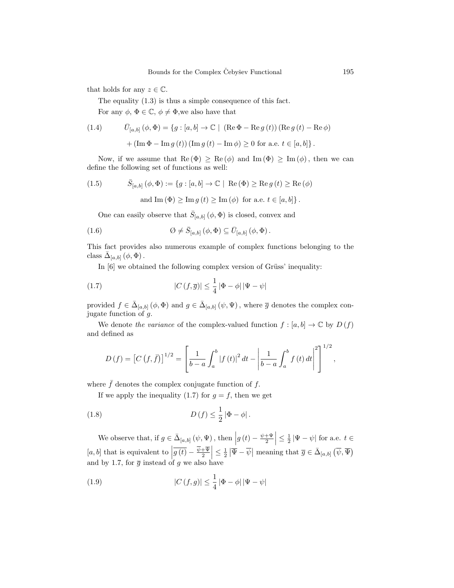that holds for any  $z \in \mathbb{C}$ .

The equality (1.3) is thus a simple consequence of this fact.

For any  $\phi$ ,  $\Phi \in \mathbb{C}$ ,  $\phi \neq \Phi$ , we also have that

(1.4) 
$$
\overline{U}_{[a,b]}(\phi, \Phi) = \{g : [a, b] \to \mathbb{C} \mid (\text{Re } \Phi - \text{Re } g(t)) (\text{Re } g(t) - \text{Re } \phi) + (\text{Im } \Phi - \text{Im } g(t)) (\text{Im } g(t) - \text{Im } \phi) \ge 0 \text{ for a.e. } t \in [a, b] \}.
$$

Now, if we assume that  $\text{Re}(\Phi) \geq \text{Re}(\phi)$  and  $\text{Im}(\Phi) \geq \text{Im}(\phi)$ , then we can define the following set of functions as well:

(1.5) 
$$
\bar{S}_{[a,b]}(\phi, \Phi) := \{g : [a, b] \to \mathbb{C} \mid \text{Re}(\Phi) \ge \text{Re} g(t) \ge \text{Re}(\phi) \}
$$

and Im 
$$
(\Phi) \geq Im g(t) \geq Im (\phi)
$$
 for a.e.  $t \in [a, b]$ .

One can easily observe that  $\bar{S}_{[a,b]}(\phi,\Phi)$  is closed, convex and

(1.6) 
$$
\emptyset \neq \bar{S}_{[a,b]}(\phi,\Phi) \subseteq \bar{U}_{[a,b]}(\phi,\Phi).
$$

This fact provides also numerous example of complex functions belonging to the class  $\bar{\Delta}_{[a,b]}(\phi,\Phi)$ .

In  $[6]$  we obtained the following complex version of Grüss' inequality:

(1.7) 
$$
|C(f,\overline{g})| \leq \frac{1}{4} |\Phi - \phi| |\Psi - \psi|
$$

provided  $f \in \bar{\Delta}_{[a,b]}(\phi, \Phi)$  and  $g \in \bar{\Delta}_{[a,b]}(\psi, \Psi)$ , where  $\bar{g}$  denotes the complex conjugate function of g.

We denote the variance of the complex-valued function  $f : [a, b] \to \mathbb{C}$  by  $D(f)$ and defined as

$$
D(f) = [C(f,\bar{f})]^{1/2} = \left[\frac{1}{b-a}\int_a^b |f(t)|^2 dt - \left|\frac{1}{b-a}\int_a^b f(t) dt\right|^2\right]^{1/2},
$$

where  $\bar{f}$  denotes the complex conjugate function of f.

If we apply the inequality (1.7) for  $g = f$ , then we get

(1.8) 
$$
D(f) \leq \frac{1}{2} |\Phi - \phi|.
$$

We observe that, if  $g \in \bar{\Delta}_{[a,b]}(\psi, \Psi)$ , then  $|g(t) - \frac{\psi + \Psi}{2}| \leq \frac{1}{2} |\Psi - \psi|$  for a.e.  $t \in$  $[a, b]$  that is equivalent to  $\left| \overline{g(t)} - \frac{\overline{\psi} + \overline{\psi}}{2} \right| \leq \frac{1}{2} \left| \overline{\Psi} - \overline{\psi} \right|$  meaning that  $\overline{g} \in \overline{\Delta}_{[a, b]} (\overline{\psi}, \overline{\Psi})$ and by 1.7, for  $\overline{g}$  instead of  $g$  we also have

(1.9) 
$$
|C(f,g)| \leq \frac{1}{4} |\Phi - \phi| |\Psi - \psi|
$$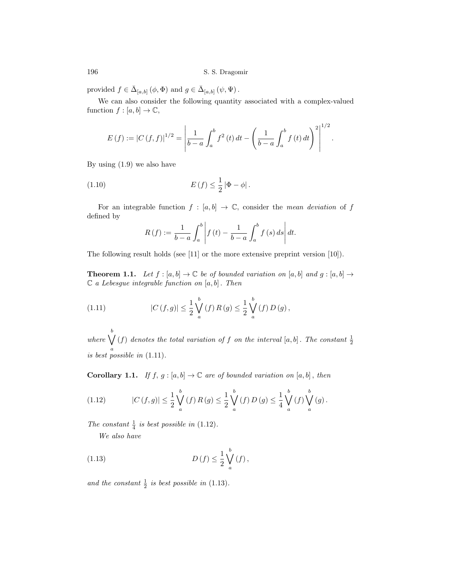provided  $f \in \bar{\Delta}_{[a,b]} (\phi, \Phi)$  and  $g \in \bar{\Delta}_{[a,b]} (\psi, \Psi)$ .

We can also consider the following quantity associated with a complex-valued function  $f : [a, b] \to \mathbb{C}$ ,

$$
E(f) := |C(f, f)|^{1/2} = \left| \frac{1}{b-a} \int_a^b f^2(t) dt - \left( \frac{1}{b-a} \int_a^b f(t) dt \right)^2 \right|^{1/2}.
$$

By using (1.9) we also have

(1.10) 
$$
E(f) \leq \frac{1}{2} |\Phi - \phi|.
$$

For an integrable function  $f : [a, b] \to \mathbb{C}$ , consider the mean deviation of f defined by

$$
R(f) := \frac{1}{b-a} \int_{a}^{b} \left| f(t) - \frac{1}{b-a} \int_{a}^{b} f(s) \, ds \right| dt.
$$

The following result holds (see [11] or the more extensive preprint version [10]).

**Theorem 1.1.** Let  $f : [a, b] \to \mathbb{C}$  be of bounded variation on  $[a, b]$  and  $g : [a, b] \to$  $\mathbb C$  a Lebesgue integrable function on  $[a, b]$ . Then

(1.11) 
$$
|C(f,g)| \leq \frac{1}{2} \bigvee_{a}^{b} (f) R(g) \leq \frac{1}{2} \bigvee_{a}^{b} (f) D(g),
$$

where  $\bigvee^b$ a (f) denotes the total variation of f on the interval  $[a, b]$ . The constant  $\frac{1}{2}$ is best possible in (1.11).

**Corollary 1.1.** If  $f, g : [a, b] \to \mathbb{C}$  are of bounded variation on  $[a, b]$ , then

(1.12) 
$$
|C(f,g)| \leq \frac{1}{2} \bigvee_{a}^{b}(f) R(g) \leq \frac{1}{2} \bigvee_{a}^{b}(f) D(g) \leq \frac{1}{4} \bigvee_{a}^{b}(f) \bigvee_{a}^{b}(g).
$$

The constant  $\frac{1}{4}$  is best possible in (1.12).

We also have

(1.13) 
$$
D(f) \leq \frac{1}{2} \bigvee_{a}^{b} (f),
$$

and the constant  $\frac{1}{2}$  is best possible in (1.13).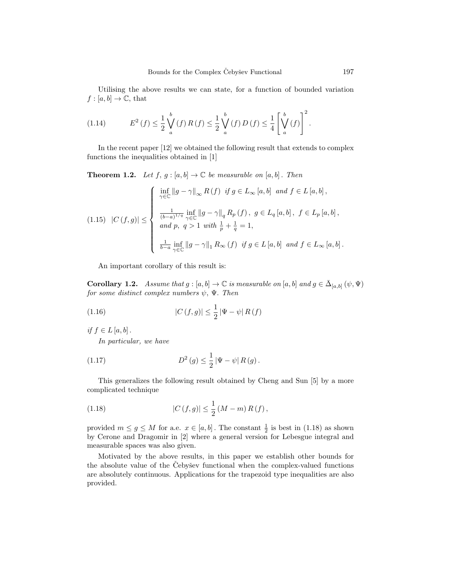Utilising the above results we can state, for a function of bounded variation  $f : [a, b] \to \mathbb{C}$ , that

(1.14) 
$$
E^{2}(f) \leq \frac{1}{2} \bigvee_{a}^{b}(f) R(f) \leq \frac{1}{2} \bigvee_{a}^{b}(f) D(f) \leq \frac{1}{4} \left[ \bigvee_{a}^{b}(f) \right]^{2}.
$$

In the recent paper [12] we obtained the following result that extends to complex functions the inequalities obtained in [1]

**Theorem 1.2.** Let  $f, g : [a, b] \to \mathbb{C}$  be measurable on  $[a, b]$ . Then

$$
(1.15) \quad |C(f,g)| \leq \begin{cases} \inf_{\gamma \in \mathbb{C}} \|g - \gamma\|_{\infty} R(f) & \text{if } g \in L_{\infty}[a,b] \text{ and } f \in L[a,b],\\ \frac{1}{(b-a)^{1/q}} \inf_{\gamma \in \mathbb{C}} \|g - \gamma\|_{q} R_{p}(f), & g \in L_{q}[a,b], \ f \in L_{p}[a,b],\\ \text{and } p, q > 1 \text{ with } \frac{1}{p} + \frac{1}{q} = 1,\\ \frac{1}{b-a} \inf_{\gamma \in \mathbb{C}} \|g - \gamma\|_{1} R_{\infty}(f) & \text{if } g \in L[a,b] \text{ and } f \in L_{\infty}[a,b]. \end{cases}
$$

An important corollary of this result is:

**Corollary 1.2.** Assume that  $g : [a, b] \to \mathbb{C}$  is measurable on  $[a, b]$  and  $g \in \bar{\Delta}_{[a, b]} (\psi, \Psi)$ for some distinct complex numbers  $\psi$ ,  $\Psi$ . Then

(1.16) 
$$
|C(f,g)| \leq \frac{1}{2} |\Psi - \psi| R(f)
$$

if  $f \in L[a, b]$ .

In particular, we have

(1.17) 
$$
D^{2}(g) \leq \frac{1}{2} |\Psi - \psi| R(g).
$$

This generalizes the following result obtained by Cheng and Sun [5] by a more complicated technique

(1.18) 
$$
|C(f,g)| \leq \frac{1}{2} (M-m) R(f),
$$

provided  $m \leq g \leq M$  for a.e.  $x \in [a, b]$ . The constant  $\frac{1}{2}$  is best in (1.18) as shown by Cerone and Dragomir in [2] where a general version for Lebesgue integral and measurable spaces was also given.

Motivated by the above results, in this paper we establish other bounds for the absolute value of the Čebyšev functional when the complex-valued functions are absolutely continuous. Applications for the trapezoid type inequalities are also provided.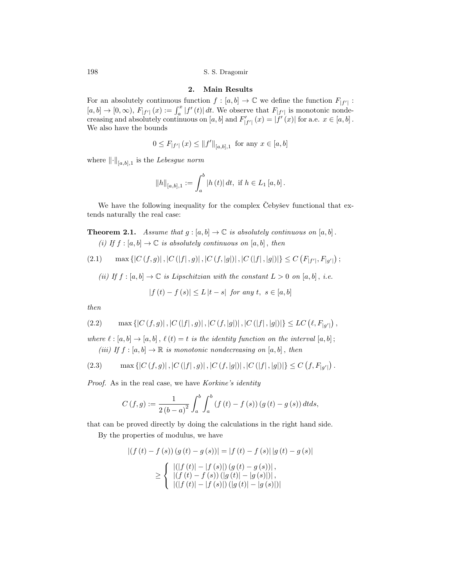### 2. Main Results

For an absolutely continuous function  $f : [a, b] \to \mathbb{C}$  we define the function  $F_{|f'|}$ :  $[a, b] \to [0, \infty), F_{|f'|}(x) := \int_a^x |f'(t)| dt$ . We observe that  $F_{|f'|}$  is monotonic nondecreasing and absolutely continuous on  $[a, b]$  and  $F'_{|f'|}(x) = |f'(x)|$  for a.e.  $x \in [a, b]$ . We also have the bounds

$$
0 \leq F_{|f'|}(x) \leq ||f'||_{[a,b],1}
$$
 for any  $x \in [a,b]$ 

where  $\lVert \cdot \rVert_{[a,b],1}$  is the Lebesgue norm

$$
||h||_{[a,b],1} := \int_a^b |h(t)| dt, \text{ if } h \in L_1[a,b].
$$

We have the following inequality for the complex Cebysev functional that extends naturally the real case:

**Theorem 2.1.** Assume that  $g : [a, b] \to \mathbb{C}$  is absolutely continuous on  $[a, b]$ . (i) If  $f : [a, b] \to \mathbb{C}$  is absolutely continuous on  $[a, b]$ , then

(2.1) 
$$
\max\{|C(f,g)|, |C(|f|,g)|, |C(f,|g|)|, |C(|f|,|g|)|\} \leq C(F_{|f'|}, F_{|g'|});
$$

(ii) If  $f : [a, b] \to \mathbb{C}$  is Lipschitzian with the constant  $L > 0$  on  $[a, b]$ , i.e.

$$
|f(t) - f(s)| \le L |t - s| \text{ for any } t, s \in [a, b]
$$

then

(2.2) 
$$
\max\{|C(f,g)|, |C(|f|,g)|, |C(f,|g|)|, |C(|f|,|g|)|\} \le LC(\ell, F_{|g'|}),
$$

where  $\ell : [a, b] \to [a, b]$ ,  $\ell(t) = t$  is the identity function on the interval  $[a, b]$ ; (iii) If  $f : [a, b] \to \mathbb{R}$  is monotonic nondecreasing on  $[a, b]$ , then

(2.3) 
$$
\max\{|C(f,g)|, |C(|f|,g)|, |C(f,|g|)|, |C(|f|,|g|)|\} \leq C(f, F_{|g'|}).
$$

Proof. As in the real case, we have Korkine's identity

$$
C(f,g) := \frac{1}{2(b-a)^2} \int_a^b \int_a^b (f(t) - f(s)) (g(t) - g(s)) dt ds,
$$

that can be proved directly by doing the calculations in the right hand side.

By the properties of modulus, we have

$$
|(f(t) - f(s)) (g(t) - g(s))| = |f(t) - f(s)| |g(t) - g(s)|
$$
  
\n
$$
\geq \begin{cases} |(|f(t)| - |f(s)|) (g(t) - g(s))|, \\ |(f(t) - f(s)) (|g(t)| - |g(s)|)|, \\ |(|f(t)| - |f(s)|) (|g(t)| - |g(s)|)| \end{cases}
$$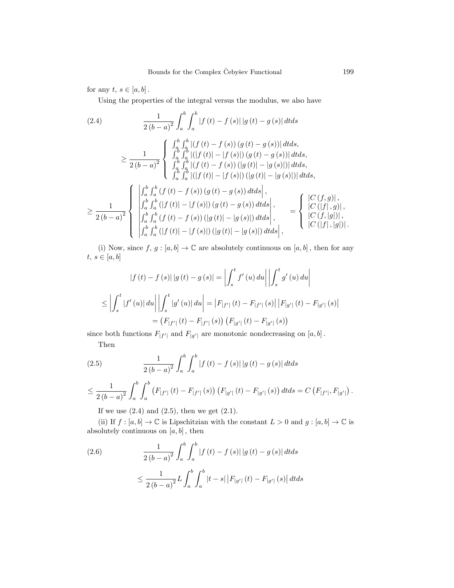for any  $t, s \in [a, b]$ .

Using the properties of the integral versus the modulus, we also have

$$
(2.4) \qquad \frac{1}{2(b-a)^2} \int_a^b \int_a^b |f(t) - f(s)| |g(t) - g(s)| dt ds
$$
\n
$$
\geq \frac{1}{2(b-a)^2} \begin{cases} \int_a^b \int_a^b |(f(t) - f(s)) (g(t) - g(s))| dt ds, \\ \int_a^b \int_a^b |(|f(t)| - |f(s)|) (g(t) - g(s))| dt ds, \\ \int_a^b \int_a^b |(|f(t) - f(s)|) (|g(t)| - |g(s)|) dt ds, \\ \int_a^b \int_a^b |(|f(t)| - |f(s)|) (|g(t)| - |g(s)|) dt ds, \end{cases}
$$
\n
$$
\geq \frac{1}{2(b-a)^2} \begin{cases} \int_a^b \int_a^b (f(t) - f(s)) (g(t) - g(s)) dt ds \\ \int_a^b \int_a^b (|f(t)| - |f(s)|) (g(t) - g(s)) dt ds \Big|, \\ \int_a^b \int_a^b (|f(t) - f(s)|) (|g(t) - g(s)|) dt ds \Big|, \\ \int_a^b \int_a^b (|f(t) - f(s)|) (|g(t)| - |g(s)|) dt ds \Big|, \\ |C (|f|, |g|)|. \end{cases}
$$

(i) Now, since  $f, g : [a, b] \to \mathbb{C}$  are absolutely continuous on  $[a, b]$ , then for any  $t, s \in [a, b]$ 

$$
|f(t) - f(s)| |g(t) - g(s)| = \left| \int_{s}^{t} f'(u) du \right| \left| \int_{s}^{t} g'(u) du \right|
$$
  

$$
\leq \left| \int_{s}^{t} |f'(u)| du \right| \left| \int_{s}^{t} |g'(u)| du \right| = |F_{|f'|}(t) - F_{|f'|}(s)| |F_{|g'|}(t) - F_{|g'|}(s)|
$$
  

$$
= (F_{|f'|}(t) - F_{|f'|}(s)) (F_{|g'|}(t) - F_{|g'|}(s))
$$

since both functions  $F_{|f'|}$  and  $F_{|g'|}$  are monotonic nondecreasing on  $[a, b]$ .

Then

(2.5) 
$$
\frac{1}{2(b-a)^2} \int_a^b \int_a^b |f(t) - f(s)| |g(t) - g(s)| dt ds
$$

$$
\leq \frac{1}{2(b-a)^2} \int_a^b \int_a^b \left( F_{|f'|}(t) - F_{|f'|}(s) \right) \left( F_{|g'|}(t) - F_{|g'|}(s) \right) dt ds = C \left( F_{|f'|}, F_{|g'|} \right).
$$

If we use  $(2.4)$  and  $(2.5)$ , then we get  $(2.1)$ .

(ii) If  $f : [a, b] \to \mathbb{C}$  is Lipschitzian with the constant  $L > 0$  and  $g : [a, b] \to \mathbb{C}$  is absolutely continuous on  $[a, b]$ , then

(2.6) 
$$
\frac{1}{2(b-a)^2} \int_a^b \int_a^b |f(t) - f(s)| |g(t) - g(s)| dt ds
$$

$$
\leq \frac{1}{2(b-a)^2} L \int_a^b \int_a^b |t - s| |F_{|g'|}(t) - F_{|g'|}(s)| dt ds
$$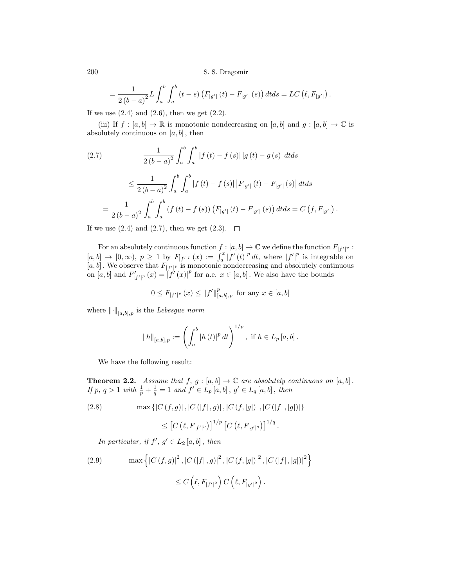.

.

$$
= \frac{1}{2(b-a)^{2}} L \int_{a}^{b} \int_{a}^{b} (t-s) (F_{|g'|}(t) - F_{|g'|}(s)) dt ds = LC (\ell, F_{|g'|})
$$

If we use  $(2.4)$  and  $(2.6)$ , then we get  $(2.2)$ .

(iii) If  $f : [a, b] \to \mathbb{R}$  is monotonic nondecreasing on  $[a, b]$  and  $g : [a, b] \to \mathbb{C}$  is absolutely continuous on  $[a, b]$ , then

(2.7)  
\n
$$
\frac{1}{2(b-a)^2} \int_a^b \int_a^b |f(t) - f(s)| |g(t) - g(s)| dt ds
$$
\n
$$
\leq \frac{1}{2(b-a)^2} \int_a^b \int_a^b |f(t) - f(s)| |F_{|g'|}(t) - F_{|g'|}(s)| dt ds
$$
\n
$$
= \frac{1}{2(b-a)^2} \int_a^b \int_a^b (f(t) - f(s)) (F_{|g'|}(t) - F_{|g'|}(s)) dt ds = C(f, F_{|g'|})
$$

If we use  $(2.4)$  and  $(2.7)$ , then we get  $(2.3)$ .  $\Box$ 

For an absolutely continuous function  $f : [a, b] \to \mathbb{C}$  we define the function  $F_{|f'|^p}$ :  $[a,b] \rightarrow [0,\infty), p \geq 1$  by  $F_{|f'|^p}(x) := \int_a^x |f'(t)|^p dt$ , where  $|f'|^p$  is integrable on  $[a, b]$ . We observe that  $F_{[f']^p}$  is monotonic nondecreasing and absolutely continuous on [a, b] and  $F'_{|f'|^p}(x) = |f'(x)|^p$  for a.e.  $x \in [a, b]$ . We also have the bounds

$$
0 \le F_{|f'|^p}(x) \le ||f'||^p_{[a,b],p}
$$
 for any  $x \in [a,b]$ 

where  $\lVert \cdot \rVert_{[a,b],p}$  is the Lebesgue norm

$$
||h||_{[a,b],p} := \left(\int_a^b |h(t)|^p dt\right)^{1/p}, \text{ if } h \in L_p[a,b].
$$

We have the following result:

**Theorem 2.2.** Assume that  $f, g : [a, b] \to \mathbb{C}$  are absolutely continuous on  $[a, b]$ . If p,  $q > 1$  with  $\frac{1}{p} + \frac{1}{q} = 1$  and  $f' \in L_p[a, b]$ ,  $g' \in L_q[a, b]$ , then

(2.8) 
$$
\max \{|C(f,g)|, |C(|f|,g)|, |C(f,|g|)|, |C(|f|,|g|)|\}
$$

$$
\leq [C(\ell, F_{|f'|^p})]^{1/p} [C(\ell, F_{|g'|^q})]^{1/q}.
$$

In particular, if  $f', g' \in L_2[a, b]$ , then

(2.9) 
$$
\max \left\{ |C(f,g)|^2, |C(|f|,g)|^2, |C(f,|g|)|^2, |C(|f|,|g|)|^2 \right\}
$$

$$
\leq C \left( \ell, F_{|f'|^2} \right) C \left( \ell, F_{|g'|^2} \right).
$$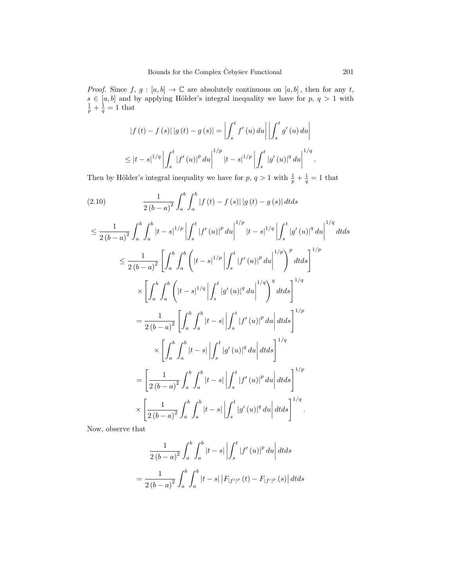*Proof.* Since f,  $g : [a, b] \to \mathbb{C}$  are absolutely continuous on  $[a, b]$ , then for any t,  $s \in [a, b]$  and by applying Hölder's integral inequality we have for  $p, q > 1$  with  $\frac{1}{p} + \frac{1}{q} = 1$  that

$$
|f(t) - f(s)||g(t) - g(s)| = \left| \int_{s}^{t} f'(u) du \right| \left| \int_{s}^{t} g'(u) du \right|
$$
  

$$
\leq |t - s|^{1/q} \left| \int_{s}^{t} |f'(u)|^{p} du \right|^{1/p} |t - s|^{1/p} \left| \int_{s}^{t} |g'(u)|^{q} du \right|^{1/q}.
$$

Then by Hölder's integral inequality we have for  $p, q > 1$  with  $\frac{1}{p} + \frac{1}{q} = 1$  that

$$
(2.10) \frac{1}{2(b-a)^2} \int_a^b \int_b^b |f(t) - f(s)| |g(t) - g(s)| dt ds
$$
  
\n
$$
\leq \frac{1}{2(b-a)^2} \int_a^b \int_a^b |t - s|^{1/p} \left| \int_s^t |f'(u)|^p du \right|^{1/p} |t - s|^{1/q} \left| \int_s^t |g'(u)|^q du \right|^{1/q} dt ds
$$
  
\n
$$
\leq \frac{1}{2(b-a)^2} \left[ \int_a^b \int_a^b (|t - s|^{1/p}| \int_s^t |f'(u)|^p du \right]^{1/p} dt ds \right]^{1/p}
$$
  
\n
$$
\times \left[ \int_a^b \int_a^b (|t - s|^{1/q}| \int_s^t |g'(u)|^q du \right]^{1/q} dt ds \right]^{1/q}
$$
  
\n
$$
= \frac{1}{2(b-a)^2} \left[ \int_a^b \int_a^b |t - s| \int_s^t |f'(u)|^p du \right] dt ds \right]^{1/p}
$$
  
\n
$$
\times \left[ \int_a^b \int_a^b |t - s| \int_s^t |g'(u)|^q du \right] dt ds \right]^{1/p}
$$
  
\n
$$
= \left[ \frac{1}{2(b-a)^2} \int_a^b \int_a^b |t - s| \int_s^t |f'(u)|^p du \right] dt ds \right]^{1/p}
$$
  
\n
$$
\times \left[ \frac{1}{2(b-a)^2} \int_a^b \int_a^b |t - s| \int_s^t |f'(u)|^p du \right] dt ds \right]^{1/q}
$$
  
\n
$$
\times \left[ \frac{1}{2(b-a)^2} \int_a^b \int_a^b |t - s| \int_s^t |g'(u)|^q du \right] dt ds \right]^{1/q}.
$$

Now, observe that

$$
\frac{1}{2(b-a)^{2}} \int_{a}^{b} \int_{a}^{b} |t-s| \left| \int_{s}^{t} |f'(u)|^{p} du \right| dt ds
$$

$$
= \frac{1}{2(b-a)^{2}} \int_{a}^{b} \int_{a}^{b} |t-s| \left| F_{|f'|^{p}}(t) - F_{|f'|^{p}}(s) \right| dt ds
$$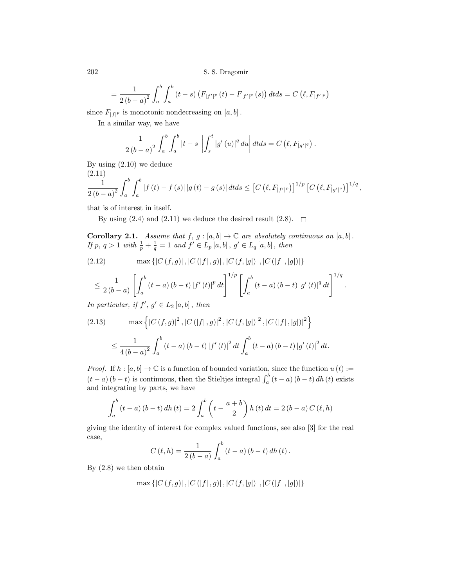$$
= \frac{1}{2(b-a)^2} \int_a^b \int_a^b (t-s) (F_{|f'|^p}(t) - F_{|f'|^p}(s)) dt ds = C (\ell, F_{|f'|^p})
$$

since  $F_{|f|^p}$  is monotonic nondecreasing on  $[a, b]$ .

In a similar way, we have

$$
\frac{1}{2(b-a)^2} \int_a^b \int_a^b |t-s| \left| \int_s^t |g'(u)|^q du \right| dt ds = C \left( \ell, F_{|g'|^q} \right).
$$

By using (2.10) we deduce  $(2.11)$ 

$$
\frac{1}{2(b-a)^2} \int_a^b \int_a^b |f(t) - f(s)| |g(t) - g(s)| dt ds \leq [C (\ell, F_{|f'|^p})]^{1/p} [C (\ell, F_{|g'|^q})]^{1/q},
$$

that is of interest in itself.

By using  $(2.4)$  and  $(2.11)$  we deduce the desired result  $(2.8)$ .  $\Box$ 

**Corollary 2.1.** Assume that  $f, g : [a, b] \to \mathbb{C}$  are absolutely continuous on  $[a, b]$ . If p,  $q > 1$  with  $\frac{1}{p} + \frac{1}{q} = 1$  and  $f' \in L_p[a, b]$ ,  $g' \in L_q[a, b]$ , then

(2.12) 
$$
\max \{|C(f,g)|, |C(|f|,g)|, |C(f,|g|)|, |C(|f|,|g|)|\}
$$

$$
\leq \frac{1}{2(b-a)} \left[ \int_{a}^{b} (t-a) (b-t) |f'(t)|^{p} dt \right]^{1/p} \left[ \int_{a}^{b} (t-a) (b-t) |g'(t)|^{q} dt \right]^{1/q}.
$$

In particular, if  $f', g' \in L_2[a, b]$ , then

(2.13) 
$$
\max \left\{ |C(f,g)|^2, |C(|f|,g)|^2, |C(f,|g|)|^2, |C(|f|,|g|)|^2 \right\}
$$

$$
\leq \frac{1}{4(b-a)^2} \int_a^b (t-a)(b-t) |f'(t)|^2 dt \int_a^b (t-a)(b-t) |g'(t)|^2 dt.
$$

*Proof.* If  $h : [a, b] \to \mathbb{C}$  is a function of bounded variation, since the function  $u(t) :=$  $(t - a) (b - t)$  is continuous, then the Stieltjes integral  $\int_a^b (t - a) (b - t) dh(t)$  exists and integrating by parts, we have

$$
\int_{a}^{b} (t-a) (b-t) dh (t) = 2 \int_{a}^{b} \left( t - \frac{a+b}{2} \right) h (t) dt = 2 (b-a) C (\ell, h)
$$

giving the identity of interest for complex valued functions, see also [3] for the real case,

$$
C(\ell, h) = \frac{1}{2(b-a)} \int_{a}^{b} (t-a) (b-t) dh(t).
$$

By (2.8) we then obtain

$$
\max \left\{ |C(f,g)|, |C(|f|,g)|, |C(f,|g|)|, |C(|f|,|g|)| \right\}
$$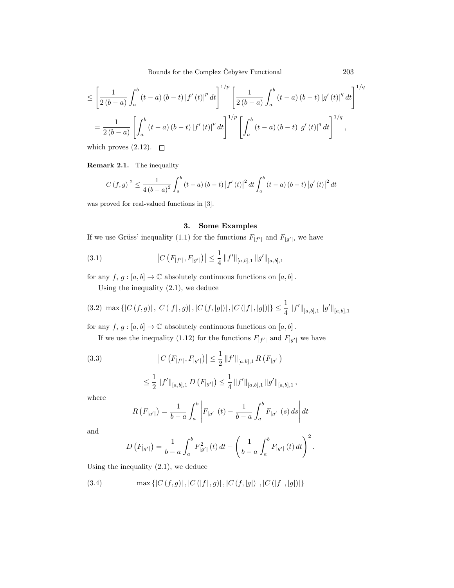Bounds for the Complex Čebyšev Functional  $203$ 

$$
\leq \left[\frac{1}{2(b-a)} \int_{a}^{b} (t-a) (b-t) |f'(t)|^{p} dt\right]^{1/p} \left[\frac{1}{2(b-a)} \int_{a}^{b} (t-a) (b-t) |g'(t)|^{q} dt\right]^{1/q}
$$

$$
= \frac{1}{2(b-a)} \left[\int_{a}^{b} (t-a) (b-t) |f'(t)|^{p} dt\right]^{1/p} \left[\int_{a}^{b} (t-a) (b-t) |g'(t)|^{q} dt\right]^{1/q},
$$

which proves  $(2.12)$ .  $\Box$ 

Remark 2.1. The inequality

$$
|C(f,g)|^{2} \leq \frac{1}{4(b-a)^{2}} \int_{a}^{b} (t-a)(b-t) |f'(t)|^{2} dt \int_{a}^{b} (t-a)(b-t) |g'(t)|^{2} dt
$$

was proved for real-valued functions in [3].

# 3. Some Examples

If we use Grüss' inequality (1.1) for the functions  $F_{|f'|}$  and  $F_{|g'|}$ , we have

(3.1) 
$$
|C(F_{|f'|}, F_{|g'|})| \leq \frac{1}{4} ||f'||_{[a,b],1} ||g'||_{[a,b],1}
$$

for any  $f,\,g:[a,b]\rightarrow\mathbb{C}$  absolutely continuous functions on  $[a,b]$  .

Using the inequality (2.1), we deduce

$$
(3.2) \max \left\{ |C(f,g)|, |C(|f|,g)|, |C(f,|g|)|, |C(|f|,|g|)| \right\} \le \frac{1}{4} ||f'||_{[a,b],1} ||g'||_{[a,b],1}
$$

for any  $f, g : [a, b] \to \mathbb{C}$  absolutely continuous functions on  $[a, b]$ .

If we use the inequality (1.12) for the functions  $F_{|f'|}$  and  $F_{|g'|}$  we have

(3.3) 
$$
\left|C\left(F_{|f'|}, F_{|g'|}\right)\right| \leq \frac{1}{2} \left\|f'\right\|_{[a,b],1} R\left(F_{|g'|}\right)
$$

$$
\leq \frac{1}{2} \left\|f'\right\|_{[a,b],1} D\left(F_{|g'|}\right) \leq \frac{1}{4} \left\|f'\right\|_{[a,b],1} \left\|g'\right\|_{[a,b],1},
$$

where

$$
R(F_{|g'|}) = \frac{1}{b-a} \int_{a}^{b} \left| F_{|g'|}(t) - \frac{1}{b-a} \int_{a}^{b} F_{|g'|}(s) \, ds \right| dt
$$

and

$$
D\left(F_{|g'|}\right) = \frac{1}{b-a} \int_a^b F_{|g'|}^2(t) \, dt - \left(\frac{1}{b-a} \int_a^b F_{|g'|}(t) \, dt\right)^2.
$$

Using the inequality (2.1), we deduce

(3.4) 
$$
\max\{|C(f,g)|, |C(|f|,g)|, |C(f,|g|)|, |C(|f|,|g|)|\}
$$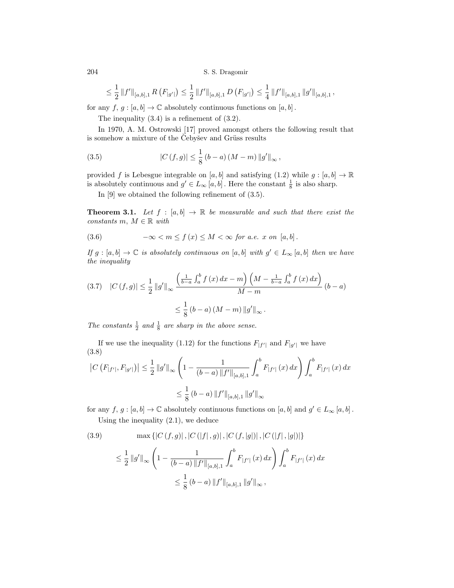$$
\leq \frac{1}{2} \left\|f'\right\|_{[a,b],1} R\left(F_{|g'}\right) \leq \frac{1}{2} \left\|f'\right\|_{[a,b],1} D\left(F_{|g'}\right) \leq \frac{1}{4} \left\|f'\right\|_{[a,b],1} \left\|g'\right\|_{[a,b],1},
$$

for any  $f, g : [a, b] \to \mathbb{C}$  absolutely continuous functions on  $[a, b]$ .

The inequality (3.4) is a refinement of (3.2).

In 1970, A. M. Ostrowski [17] proved amongst others the following result that is somehow a mixture of the Cebyšev and Grüss results

(3.5) 
$$
|C(f,g)| \leq \frac{1}{8} (b-a) (M-m) ||g'||_{\infty},
$$

provided f is Lebesgue integrable on [a, b] and satisfying (1.2) while  $g : [a, b] \to \mathbb{R}$ is absolutely continuous and  $g' \in L_{\infty}[a, b]$ . Here the constant  $\frac{1}{8}$  is also sharp.

In [9] we obtained the following refinement of (3.5).

**Theorem 3.1.** Let  $f : [a, b] \rightarrow \mathbb{R}$  be measurable and such that there exist the constants m,  $M \in \mathbb{R}$  with

(3.6) 
$$
-\infty < m \le f(x) \le M < \infty \text{ for a.e. } x \text{ on } [a, b].
$$

If  $g : [a, b] \to \mathbb{C}$  is absolutely continuous on  $[a, b]$  with  $g' \in L_{\infty}[a, b]$  then we have the inequality

$$
(3.7) \quad |C(f,g)| \le \frac{1}{2} \|g'\|_{\infty} \frac{\left(\frac{1}{b-a} \int_a^b f(x) \, dx - m\right) \left(M - \frac{1}{b-a} \int_a^b f(x) \, dx\right)}{M - m} (b - a)
$$

$$
\le \frac{1}{8} (b - a) (M - m) \|g'\|_{\infty}.
$$

The constants  $\frac{1}{2}$  and  $\frac{1}{8}$  are sharp in the above sense.

If we use the inequality (1.12) for the functions  $F_{|f'|}$  and  $F_{|g'|}$  we have (3.8)

$$
\begin{aligned} \left| C\left( F_{|f'|}, F_{|g'|} \right) \right| &\leq \frac{1}{2} \left\| g' \right\|_{\infty} \left( 1 - \frac{1}{(b-a) \left\| f' \right\|_{[a,b],1}} \int_a^b F_{|f'|} \left( x \right) dx \right) \int_a^b F_{|f'|} \left( x \right) dx \\ &\leq \frac{1}{8} \left( b-a \right) \left\| f' \right\|_{[a,b],1} \left\| g' \right\|_{\infty} \end{aligned}
$$

for any  $f, g : [a, b] \to \mathbb{C}$  absolutely continuous functions on  $[a, b]$  and  $g' \in L_{\infty}[a, b]$ . Using the inequality (2.1), we deduce

(3.9) 
$$
\max \{|C(f,g)|, |C(|f|,g)|, |C(f,|g|)|, |C(|f|,|g|)|\}
$$

$$
\leq \frac{1}{2} ||g'||_{\infty} \left(1 - \frac{1}{(b-a) ||f'||_{[a,b],1}} \int_{a}^{b} F_{|f'|}(x) dx\right) \int_{a}^{b} F_{|f'|}(x) dx
$$

$$
\leq \frac{1}{8} (b-a) ||f'||_{[a,b],1} ||g'||_{\infty},
$$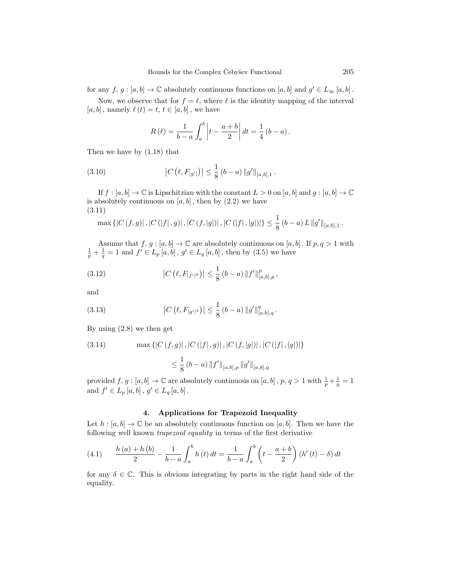for any  $f, g : [a, b] \to \mathbb{C}$  absolutely continuous functions on  $[a, b]$  and  $g' \in L_{\infty}[a, b]$ .

Now, we observe that for  $f = \ell$ , where  $\ell$  is the identity mapping of the interval  $[a, b]$ , namely  $\ell(t) = t, t \in [a, b]$ , we have

$$
R(\ell) = \frac{1}{b-a} \int_{a}^{b} \left| t - \frac{a+b}{2} \right| dt = \frac{1}{4} (b-a).
$$

Then we have by (1.18) that

(3.10) 
$$
|C(\ell, F_{|g'|})| \leq \frac{1}{8} (b-a) \|g'\|_{[a,b],1}.
$$

If  $f : [a, b] \to \mathbb{C}$  is Lipschitzian with the constant  $L > 0$  on  $[a, b]$  and  $g : [a, b] \to \mathbb{C}$ is absolutely continuous on  $[a, b]$ , then by  $(2.2)$  we have (3.11)

$$
\max \left\{ |C(f,g)|, |C(|f|,g)|, |C(f,|g|)|, |C(|f|,|g|)| \right\} \leq \frac{1}{8} (b-a) L ||g'||_{[a,b],1}.
$$

Assume that  $f, g : [a, b] \to \mathbb{C}$  are absolutely continuous on  $[a, b]$ . If  $p, q > 1$  with  $\frac{1}{p} + \frac{1}{q} = 1$  and  $f' \in L_p[a, b]$ ,  $g' \in L_q[a, b]$ , then by (3.5) we have

(3.12) 
$$
\left|C(\ell, F_{|f'|^p})\right| \leq \frac{1}{8} (b-a) \|f'\|_{[a,b],p}^p,
$$

and

(3.13) 
$$
\left|C\left(\ell, F_{|g'|^q}\right)\right| \leq \frac{1}{8} \left(b-a\right) \|g'\|_{[a,b],q}^q.
$$

By using (2.8) we then get

(3.14) 
$$
\max \{|C(f,g)|, |C(|f|,g)|, |C(f,|g|)|, |C(|f|,|g|)|\}
$$

$$
\leq \frac{1}{8} (b-a) ||f'||_{[a,b],p} ||g'||_{[a,b],q}
$$

provided  $f, g : [a, b] \to \mathbb{C}$  are absolutely continuous on  $[a, b]$ ,  $p, q > 1$  with  $\frac{1}{p} + \frac{1}{q} = 1$ and  $f' \in L_p[a, b]$ ,  $g' \in L_q[a, b]$ .

## 4. Applications for Trapezoid Inequality

Let  $h : [a, b] \to \mathbb{C}$  be an absolutely continuous function on  $[a, b]$ . Then we have the following well known trapezoid equality in terms of the first derivative

(4.1) 
$$
\frac{h(a) + h(b)}{2} - \frac{1}{b-a} \int_{a}^{b} h(t) dt = \frac{1}{b-a} \int_{a}^{b} \left( t - \frac{a+b}{2} \right) (h'(t) - \delta) dt
$$

for any  $\delta \in \mathbb{C}$ . This is obvious integrating by parts in the right hand side of the equality.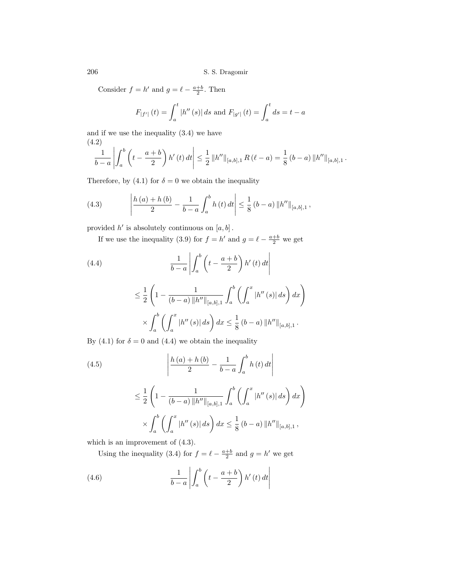Consider  $f = h'$  and  $g = \ell - \frac{a+b}{2}$ . Then

$$
F_{|f'|}(t) = \int_a^t |h''(s)| ds \text{ and } F_{|g'|}(t) = \int_a^t ds = t - a
$$

and if we use the inequality (3.4) we have (4.2)

$$
\frac{1}{b-a}\left|\int_a^b \left(t-\frac{a+b}{2}\right)h'(t) dt\right| \leq \frac{1}{2} ||h''||_{[a,b],1} R(\ell-a) = \frac{1}{8} (b-a) ||h''||_{[a,b],1}.
$$

Therefore, by (4.1) for  $\delta = 0$  we obtain the inequality

(4.3) 
$$
\left| \frac{h(a) + h(b)}{2} - \frac{1}{b-a} \int_a^b h(t) dt \right| \leq \frac{1}{8} (b-a) \|h''\|_{[a,b],1},
$$

provided  $h'$  is absolutely continuous on  $[a, b]$ .

If we use the inequality (3.9) for  $f = h'$  and  $g = \ell - \frac{a+b}{2}$  we get

(4.4) 
$$
\frac{1}{b-a}\left|\int_a^b \left(t-\frac{a+b}{2}\right)h'(t) dt\right|
$$

$$
\leq \frac{1}{2} \left( 1 - \frac{1}{(b-a) \, \|h''\|_{[a,b],1}} \int_a^b \left( \int_a^x |h''(s)| \, ds \right) dx \right)
$$

$$
\times \int_a^b \left( \int_a^x |h''(s)| \, ds \right) dx \leq \frac{1}{8} \left( b-a \right) \|h''\|_{[a,b],1}.
$$

By (4.1) for  $\delta = 0$  and (4.4) we obtain the inequality

(4.5)  
\n
$$
\left| \frac{h(a) + h(b)}{2} - \frac{1}{b-a} \int_{a}^{b} h(t) dt \right|
$$
\n
$$
\leq \frac{1}{2} \left( 1 - \frac{1}{(b-a) \|h''\|_{[a,b],1}} \int_{a}^{b} \left( \int_{a}^{x} |h''(s)| ds \right) dx \right)
$$
\n
$$
\times \int_{a}^{b} \left( \int_{a}^{x} |h''(s)| ds \right) dx \leq \frac{1}{8} (b-a) \|h''\|_{[a,b],1},
$$

which is an improvement of (4.3).

Using the inequality (3.4) for  $f = \ell - \frac{a+b}{2}$  and  $g = h'$  we get

(4.6) 
$$
\frac{1}{b-a}\left|\int_a^b \left(t-\frac{a+b}{2}\right)h'(t) dt\right|
$$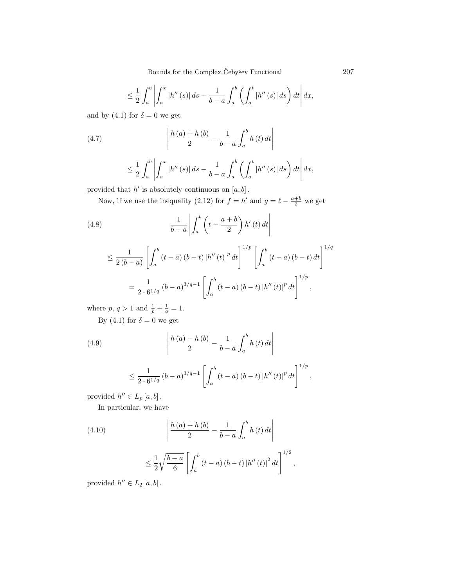Bounds for the Complex Čebyšev Functional  $207$ 

$$
\leq \frac{1}{2} \int_{a}^{b} \left| \int_{a}^{x} |h''(s)| ds - \frac{1}{b-a} \int_{a}^{b} \left( \int_{a}^{t} |h''(s)| ds \right) dt \right| dx,
$$

and by (4.1) for  $\delta = 0$  we get

(4.7) 
$$
\left| \frac{h(a) + h(b)}{2} - \frac{1}{b-a} \int_{a}^{b} h(t) dt \right|
$$

$$
\leq \frac{1}{2}\int_{a}^{b}\left|\int_{a}^{x}|h''(s)|ds-\frac{1}{b-a}\int_{a}^{b}\left(\int_{a}^{t}|h''(s)|ds\right)dt\right|dx,
$$

provided that  $h'$  is absolutely continuous on  $[a, b]$ .

Now, if we use the inequality (2.12) for  $f = h'$  and  $g = \ell - \frac{a+b}{2}$  we get

(4.8)  
\n
$$
\frac{1}{b-a} \left| \int_a^b \left( t - \frac{a+b}{2} \right) h'(t) dt \right|
$$
\n
$$
\leq \frac{1}{2(b-a)} \left[ \int_a^b (t-a) (b-t) |h''(t)|^p dt \right]^{1/p} \left[ \int_a^b (t-a) (b-t) dt \right]^{1/q}
$$
\n
$$
= \frac{1}{2 \cdot 6^{1/q}} (b-a)^{3/q-1} \left[ \int_a^b (t-a) (b-t) |h''(t)|^p dt \right]^{1/p},
$$

where  $p, q > 1$  and  $\frac{1}{p} + \frac{1}{q} = 1$ .

By (4.1) for  $\delta = 0$  we get

(4.9) 
$$
\frac{h(a) + h(b)}{2} - \frac{1}{b-a} \int_{a}^{b} h(t) dt
$$

$$
\leq \frac{1}{2 \cdot 6^{1/q}} \left( b - a \right)^{3/q-1} \left[ \int_a^b \left( t - a \right) \left( b - t \right) \left| h'' \left( t \right) \right|^p dt \right]^{1/p},
$$

provided  $h'' \in L_p[a, b]$ .

In particular, we have

(4.10)  

$$
\left| \frac{h(a) + h(b)}{2} - \frac{1}{b-a} \int_{a}^{b} h(t) dt \right|
$$

$$
\leq \frac{1}{2} \sqrt{\frac{b-a}{6}} \left[ \int_{a}^{b} (t-a) (b-t) |h''(t)|^{2} dt \right]^{1/2},
$$

provided  $h'' \in L_2[a, b]$ .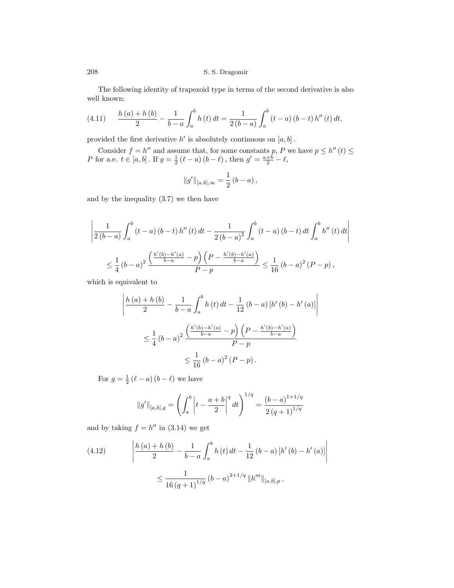The following identity of trapezoid type in terms of the second derivative is also well known:

(4.11) 
$$
\frac{h(a) + h(b)}{2} - \frac{1}{b-a} \int_a^b h(t) dt = \frac{1}{2(b-a)} \int_a^b (t-a) (b-t) h''(t) dt,
$$

provided the first derivative  $h'$  is absolutely continuous on  $[a, b]$ .

Consider  $f = h''$  and assume that, for some constants p, P we have  $p \leq h''(t) \leq$ *P* for a.e.  $t \in [a, b]$ . If  $g = \frac{1}{2} (\ell - a) (b - \ell)$ , then  $g' = \frac{a+b}{2} - \ell$ ,

$$
||g'||_{[a,b],\infty} = \frac{1}{2} (b - a) ,
$$

and by the inequality (3.7) we then have

$$
\left| \frac{1}{2(b-a)} \int_{a}^{b} (t-a) (b-t) h''(t) dt - \frac{1}{2(b-a)^{2}} \int_{a}^{b} (t-a) (b-t) dt \int_{a}^{b} h''(t) dt \right|
$$
  

$$
\leq \frac{1}{4} (b-a)^{2} \frac{\left(\frac{h'(b)-h'(a)}{b-a} - p\right) \left(P - \frac{h'(b)-h'(a)}{b-a}\right)}{P-p} \leq \frac{1}{16} (b-a)^{2} (P-p),
$$

which is equivalent to

$$
\left| \frac{h(a) + h(b)}{2} - \frac{1}{b - a} \int_{a}^{b} h(t) dt - \frac{1}{12} (b - a) [h'(b) - h'(a)] \right|
$$
  

$$
\leq \frac{1}{4} (b - a)^{2} \frac{\left( \frac{h'(b) - h'(a)}{b - a} - p \right) \left( P - \frac{h'(b) - h'(a)}{b - a} \right)}{P - p}
$$
  

$$
\leq \frac{1}{16} (b - a)^{2} (P - p).
$$

For  $g = \frac{1}{2} (\ell - a) (b - \ell)$  we have

$$
||g'||_{[a,b],q} = \left(\int_a^b \left| t - \frac{a+b}{2} \right|^q dt\right)^{1/q} = \frac{(b-a)^{1+1/q}}{2(q+1)^{1/q}}
$$

and by taking  $f = h''$  in (3.14) we get

(4.12) 
$$
\left| \frac{h(a) + h(b)}{2} - \frac{1}{b-a} \int_{a}^{b} h(t) dt - \frac{1}{12} (b-a) [h'(b) - h'(a)] \right|
$$

$$
\leq \frac{1}{16 (q+1)^{1/q}} (b-a)^{2+1/q} ||h'''||_{[a,b],p},
$$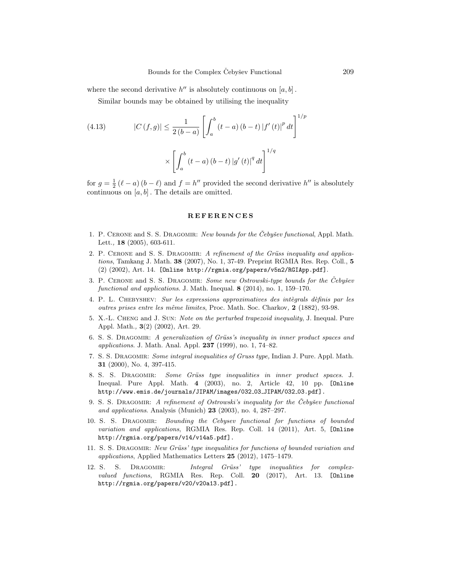where the second derivative  $h''$  is absolutely continuous on  $[a, b]$ .

Similar bounds may be obtained by utilising the inequality

(4.13) 
$$
|C(f,g)| \leq \frac{1}{2(b-a)} \left[ \int_a^b (t-a) (b-t) |f'(t)|^p dt \right]^{1/p}
$$

$$
\times \left[ \int_a^b (t-a) (b-t) |g'(t)|^q dt \right]^{1/q}
$$

for  $g = \frac{1}{2}(\ell - a)(b - \ell)$  and  $f = h''$  provided the second derivative  $h''$  is absolutely continuous on  $[a, b]$ . The details are omitted.

#### **REFERENCES**

- 1. P. CERONE and S. S. DRAGOMIR: New bounds for the Cebysev functional, Appl. Math. Lett., 18 (2005), 603-611.
- 2. P. CERONE and S. S. DRAGOMIR: A refinement of the Grüss inequality and applications, Tamkang J. Math. 38 (2007), No. 1, 37-49. Preprint RGMIA Res. Rep. Coll., 5 (2) (2002), Art. 14. [Online http://rgmia.org/papers/v5n2/RGIApp.pdf].
- 3. P. CERONE and S. S. DRAGOMIR: Some new Ostrowski-type bounds for the Čebyšev functional and applications. J. Math. Inequal. 8 (2014), no. 1, 159–170.
- 4. P. L. CHEBYSHEV: Sur les expressions approximatives des intègrals dèfinis par les outres prises entre les même limites, Proc. Math. Soc. Charkov,  $2(1882)$ , 93-98.
- 5. X.-L. Cheng and J. Sun: Note on the perturbed trapezoid inequality, J. Inequal. Pure Appl. Math., 3(2) (2002), Art. 29.
- 6. S. S. DRAGOMIR: A generalization of Grüss's inequality in inner product spaces and applications. J. Math. Anal. Appl. 237 (1999), no. 1, 74–82.
- 7. S. S. Dragomir: Some integral inequalities of Gruss type, Indian J. Pure. Appl. Math. 31 (2000), No. 4, 397-415.
- 8. S. S. DRAGOMIR: Some Grüss type inequalities in inner product spaces. J. Inequal. Pure Appl. Math. 4 (2003), no. 2, Article 42, 10 pp. [Online http://www.emis.de/journals/JIPAM/images/032\_03\_JIPAM/032\_03.pdf].
- 9. S. S. DRAGOMIR: A refinement of Ostrowski's inequality for the Cebusev functional and applications. Analysis (Munich)  $23$  (2003), no. 4, 287–297.
- 10. S. S. Dragomir: Bounding the Cebysev functional for functions of bounded variation and applications, RGMIA Res. Rep. Coll. 14 (2011), Art. 5, [Online http://rgmia.org/papers/v14/v14a5.pdf].
- 11. S. S. DRAGOMIR: New Grüss' type inequalities for functions of bounded variation and applications, Applied Mathematics Letters 25 (2012), 1475–1479.
- 12. S. S. DRAGOMIR: Integral Grüss' type inequalities for complexvalued functions, RGMIA Res. Rep. Coll. 20 (2017), Art. 13. [Online http://rgmia.org/papers/v20/v20a13.pdf].